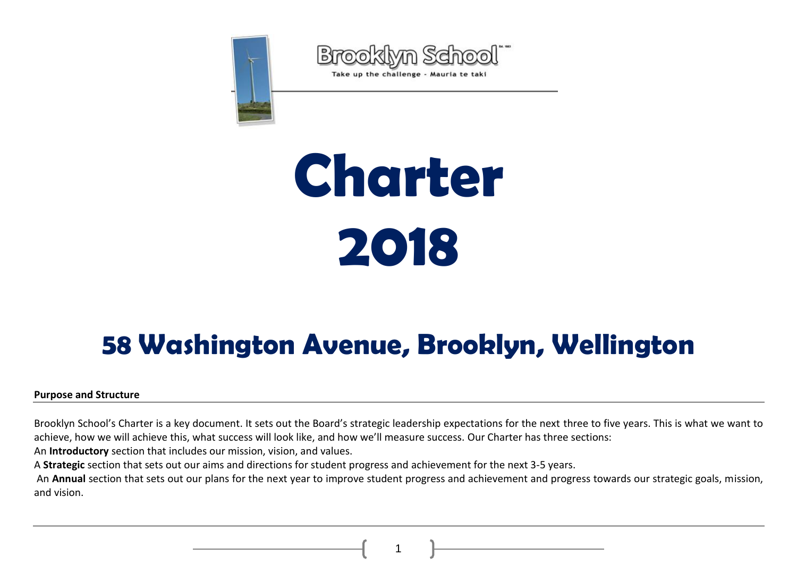



# **Charter 2018**

# **58 Washington Avenue, Brooklyn, Wellington**

#### **Purpose and Structure**

Brooklyn School's Charter is a key document. It sets out the Board's strategic leadership expectations for the next three to five years. This is what we want to achieve, how we will achieve this, what success will look like, and how we'll measure success. Our Charter has three sections:

An **Introductory** section that includes our mission, vision, and values.

A **Strategic** section that sets out our aims and directions for student progress and achievement for the next 3-5 years.

An **Annual** section that sets out our plans for the next year to improve student progress and achievement and progress towards our strategic goals, mission, and vision.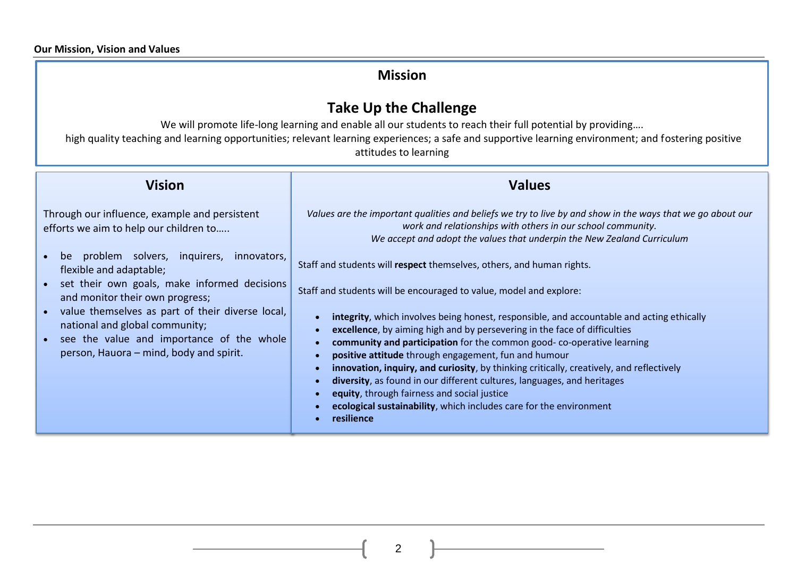## **Mission**

# **Take Up the Challenge**

We will promote life-long learning and enable all our students to reach their full potential by providing.... high quality teaching and learning opportunities; relevant learning experiences; a safe and supportive learning environment; and fostering positive attitudes to learning

| <b>Vision</b>                                                                                   | <b>Values</b>                                                                                                                                                                                                                                        |
|-------------------------------------------------------------------------------------------------|------------------------------------------------------------------------------------------------------------------------------------------------------------------------------------------------------------------------------------------------------|
| Through our influence, example and persistent<br>efforts we aim to help our children to         | Values are the important qualities and beliefs we try to live by and show in the ways that we go about our<br>work and relationships with others in our school community.<br>We accept and adopt the values that underpin the New Zealand Curriculum |
| problem solvers, inquirers,<br>innovators,<br>be<br>flexible and adaptable;                     | Staff and students will respect themselves, others, and human rights.                                                                                                                                                                                |
| • set their own goals, make informed decisions<br>and monitor their own progress;               | Staff and students will be encouraged to value, model and explore:                                                                                                                                                                                   |
| value themselves as part of their diverse local,<br>$\bullet$<br>national and global community; | integrity, which involves being honest, responsible, and accountable and acting ethically<br>excellence, by aiming high and by persevering in the face of difficulties                                                                               |
| • see the value and importance of the whole<br>person, Hauora – mind, body and spirit.          | community and participation for the common good-co-operative learning<br>positive attitude through engagement, fun and humour                                                                                                                        |
|                                                                                                 | innovation, inquiry, and curiosity, by thinking critically, creatively, and reflectively<br>diversity, as found in our different cultures, languages, and heritages                                                                                  |
|                                                                                                 | equity, through fairness and social justice<br>ecological sustainability, which includes care for the environment                                                                                                                                    |
|                                                                                                 | resilience                                                                                                                                                                                                                                           |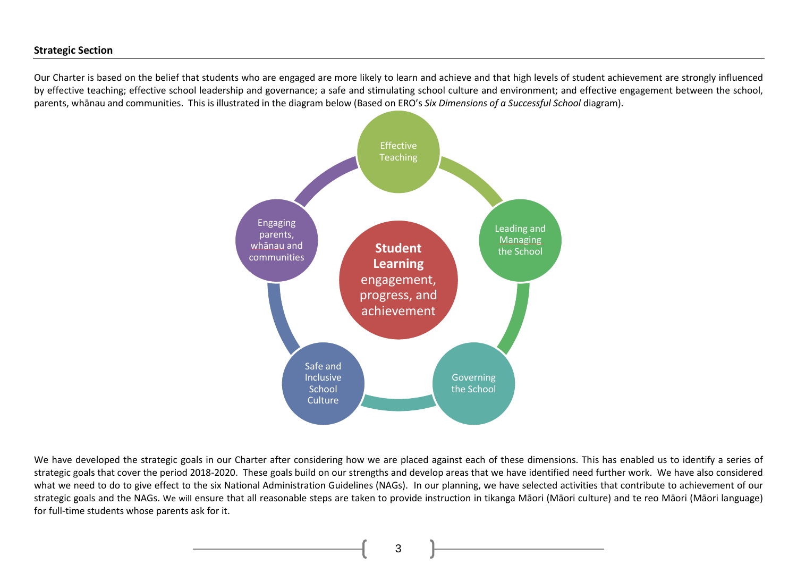#### **Strategic Section**

Our Charter is based on the belief that students who are engaged are more likely to learn and achieve and that high levels of student achievement are strongly influenced by effective teaching; effective school leadership and governance; a safe and stimulating school culture and environment; and effective engagement between the school, parents, whānau and communities. This is illustrated in the diagram below (Based on ERO's *Six Dimensions of a Successful School* diagram).



We have developed the strategic goals in our Charter after considering how we are placed against each of these dimensions. This has enabled us to identify a series of strategic goals that cover the period 2018-2020. These goals build on our strengths and develop areas that we have identified need further work. We have also considered what we need to do to give effect to the six National Administration Guidelines (NAGs). In our planning, we have selected activities that contribute to achievement of our strategic goals and the NAGs. We will ensure that all reasonable steps are taken to provide instruction in tikanga Māori (Māori culture) and te reo Māori (Māori language) for full-time students whose parents ask for it.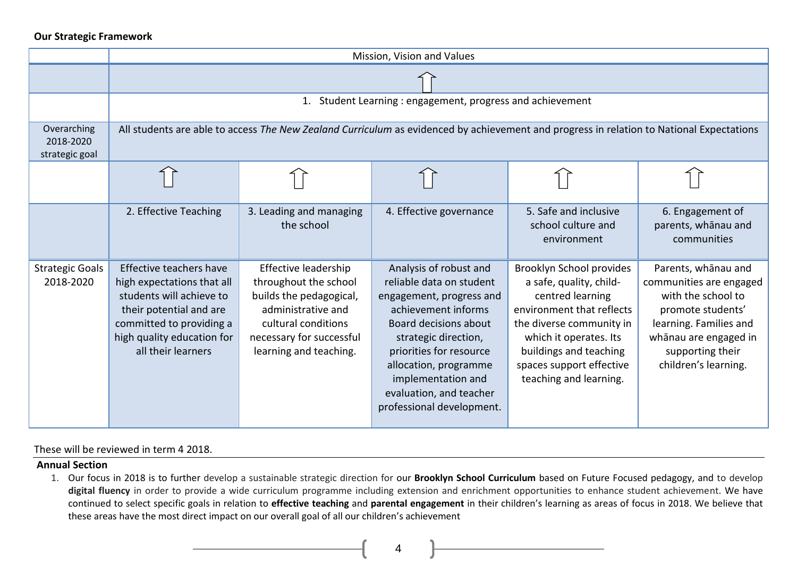#### **Our Strategic Framework**

|                                            |                                                                                                                                                                                              | Mission, Vision and Values                                                                                                                                                  |                                                                                                                                                                                                                                                                                          |                                                                                                                                                                                                                                            |                                                                                                                                                                                          |  |  |  |  |  |
|--------------------------------------------|----------------------------------------------------------------------------------------------------------------------------------------------------------------------------------------------|-----------------------------------------------------------------------------------------------------------------------------------------------------------------------------|------------------------------------------------------------------------------------------------------------------------------------------------------------------------------------------------------------------------------------------------------------------------------------------|--------------------------------------------------------------------------------------------------------------------------------------------------------------------------------------------------------------------------------------------|------------------------------------------------------------------------------------------------------------------------------------------------------------------------------------------|--|--|--|--|--|
|                                            |                                                                                                                                                                                              |                                                                                                                                                                             |                                                                                                                                                                                                                                                                                          |                                                                                                                                                                                                                                            |                                                                                                                                                                                          |  |  |  |  |  |
|                                            |                                                                                                                                                                                              |                                                                                                                                                                             | 1. Student Learning: engagement, progress and achievement                                                                                                                                                                                                                                |                                                                                                                                                                                                                                            |                                                                                                                                                                                          |  |  |  |  |  |
| Overarching<br>2018-2020<br>strategic goal |                                                                                                                                                                                              |                                                                                                                                                                             | All students are able to access The New Zealand Curriculum as evidenced by achievement and progress in relation to National Expectations                                                                                                                                                 |                                                                                                                                                                                                                                            |                                                                                                                                                                                          |  |  |  |  |  |
|                                            |                                                                                                                                                                                              |                                                                                                                                                                             |                                                                                                                                                                                                                                                                                          |                                                                                                                                                                                                                                            |                                                                                                                                                                                          |  |  |  |  |  |
|                                            | 2. Effective Teaching                                                                                                                                                                        | 3. Leading and managing<br>the school                                                                                                                                       | 4. Effective governance                                                                                                                                                                                                                                                                  | 5. Safe and inclusive<br>school culture and<br>environment                                                                                                                                                                                 | 6. Engagement of<br>parents, whānau and<br>communities                                                                                                                                   |  |  |  |  |  |
| <b>Strategic Goals</b><br>2018-2020        | Effective teachers have<br>high expectations that all<br>students will achieve to<br>their potential and are<br>committed to providing a<br>high quality education for<br>all their learners | Effective leadership<br>throughout the school<br>builds the pedagogical,<br>administrative and<br>cultural conditions<br>necessary for successful<br>learning and teaching. | Analysis of robust and<br>reliable data on student<br>engagement, progress and<br>achievement informs<br>Board decisions about<br>strategic direction,<br>priorities for resource<br>allocation, programme<br>implementation and<br>evaluation, and teacher<br>professional development. | Brooklyn School provides<br>a safe, quality, child-<br>centred learning<br>environment that reflects<br>the diverse community in<br>which it operates. Its<br>buildings and teaching<br>spaces support effective<br>teaching and learning. | Parents, whānau and<br>communities are engaged<br>with the school to<br>promote students'<br>learning. Families and<br>whānau are engaged in<br>supporting their<br>children's learning. |  |  |  |  |  |

#### These will be reviewed in term 4 2018.

#### **Annual Section**

1. Our focus in 2018 is to further develop a sustainable strategic direction for our **Brooklyn School Curriculum** based on Future Focused pedagogy, and to develop digital fluency in order to provide a wide curriculum programme including extension and enrichment opportunities to enhance student achievement. We have continued to select specific goals in relation to **effective teaching** and **parental engagement** in their children's learning as areas of focus in 2018. We believe that these areas have the most direct impact on our overall goal of all our children's achievement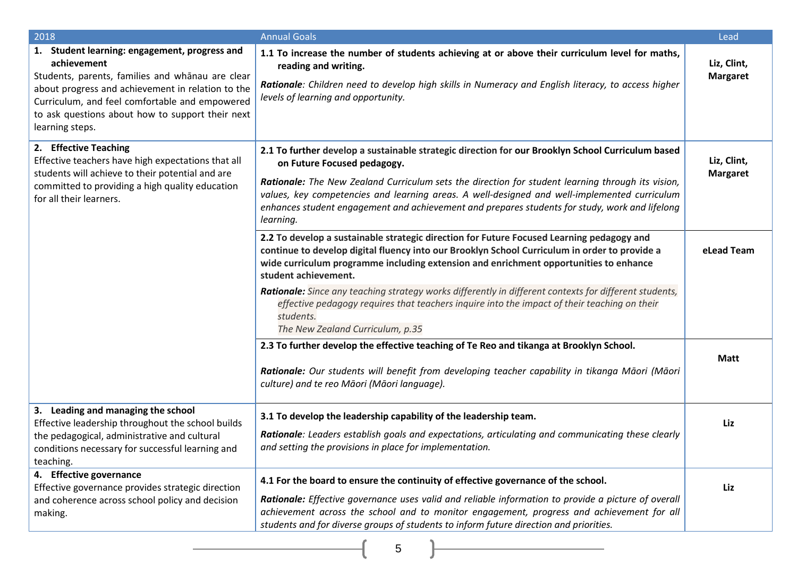| 2018                                                                                                                                                                                                                                                                                           | <b>Annual Goals</b>                                                                                                                                                                                                                                                                                                                                                                                                                                                                                                                                                                                                                                               | Lead                           |
|------------------------------------------------------------------------------------------------------------------------------------------------------------------------------------------------------------------------------------------------------------------------------------------------|-------------------------------------------------------------------------------------------------------------------------------------------------------------------------------------------------------------------------------------------------------------------------------------------------------------------------------------------------------------------------------------------------------------------------------------------------------------------------------------------------------------------------------------------------------------------------------------------------------------------------------------------------------------------|--------------------------------|
| 1. Student learning: engagement, progress and<br>achievement<br>Students, parents, families and whānau are clear<br>about progress and achievement in relation to the<br>Curriculum, and feel comfortable and empowered<br>to ask questions about how to support their next<br>learning steps. | 1.1 To increase the number of students achieving at or above their curriculum level for maths,<br>reading and writing.<br>Rationale: Children need to develop high skills in Numeracy and English literacy, to access higher<br>levels of learning and opportunity.                                                                                                                                                                                                                                                                                                                                                                                               | Liz, Clint,<br><b>Margaret</b> |
| 2. Effective Teaching<br>Effective teachers have high expectations that all<br>students will achieve to their potential and are<br>committed to providing a high quality education<br>for all their learners.                                                                                  | 2.1 To further develop a sustainable strategic direction for our Brooklyn School Curriculum based<br>on Future Focused pedagogy.<br>Rationale: The New Zealand Curriculum sets the direction for student learning through its vision,<br>values, key competencies and learning areas. A well-designed and well-implemented curriculum<br>enhances student engagement and achievement and prepares students for study, work and lifelong<br>learning.                                                                                                                                                                                                              | Liz, Clint,<br><b>Margaret</b> |
|                                                                                                                                                                                                                                                                                                | 2.2 To develop a sustainable strategic direction for Future Focused Learning pedagogy and<br>continue to develop digital fluency into our Brooklyn School Curriculum in order to provide a<br>wide curriculum programme including extension and enrichment opportunities to enhance<br>student achievement.<br>Rationale: Since any teaching strategy works differently in different contexts for different students,<br>effective pedagogy requires that teachers inquire into the impact of their teaching on their<br>students.<br>The New Zealand Curriculum, p.35<br>2.3 To further develop the effective teaching of Te Reo and tikanga at Brooklyn School. | eLead Team                     |
|                                                                                                                                                                                                                                                                                                | Rationale: Our students will benefit from developing teacher capability in tikanga Māori (Māori<br>culture) and te reo Māori (Māori language).                                                                                                                                                                                                                                                                                                                                                                                                                                                                                                                    | <b>Matt</b>                    |
| 3. Leading and managing the school<br>Effective leadership throughout the school builds<br>the pedagogical, administrative and cultural<br>conditions necessary for successful learning and<br>teaching.                                                                                       | 3.1 To develop the leadership capability of the leadership team.<br>Rationale: Leaders establish goals and expectations, articulating and communicating these clearly<br>and setting the provisions in place for implementation.                                                                                                                                                                                                                                                                                                                                                                                                                                  | Liz                            |
| 4. Effective governance<br>Effective governance provides strategic direction<br>and coherence across school policy and decision<br>making.                                                                                                                                                     | 4.1 For the board to ensure the continuity of effective governance of the school.<br>Rationale: Effective governance uses valid and reliable information to provide a picture of overall<br>achievement across the school and to monitor engagement, progress and achievement for all<br>students and for diverse groups of students to inform future direction and priorities.                                                                                                                                                                                                                                                                                   | Liz                            |
|                                                                                                                                                                                                                                                                                                | 5                                                                                                                                                                                                                                                                                                                                                                                                                                                                                                                                                                                                                                                                 |                                |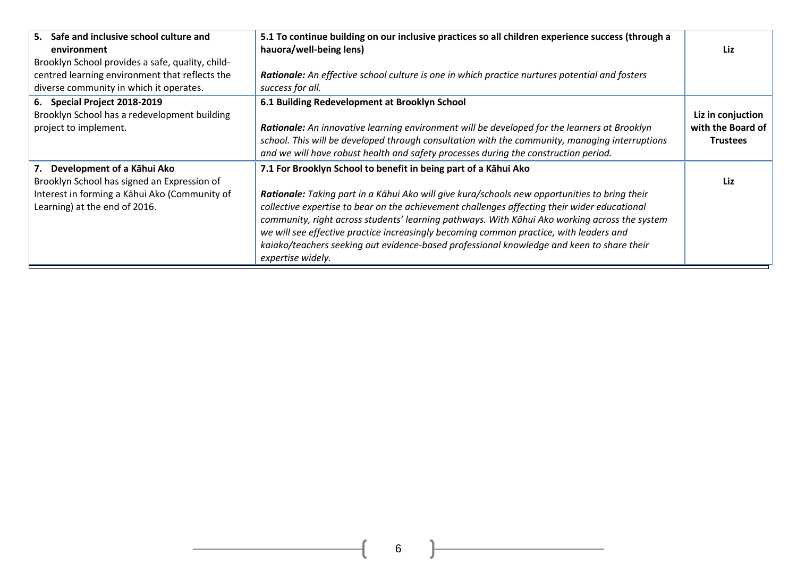| 5. Safe and inclusive school culture and<br>environment<br>Brooklyn School provides a safe, quality, child-                                                    | 5.1 To continue building on our inclusive practices so all children experience success (through a<br>hauora/well-being lens)                                                                                                                                                                                                                                                                                                                                                                                                                                                  | Liz                                                       |
|----------------------------------------------------------------------------------------------------------------------------------------------------------------|-------------------------------------------------------------------------------------------------------------------------------------------------------------------------------------------------------------------------------------------------------------------------------------------------------------------------------------------------------------------------------------------------------------------------------------------------------------------------------------------------------------------------------------------------------------------------------|-----------------------------------------------------------|
| centred learning environment that reflects the<br>diverse community in which it operates.                                                                      | Rationale: An effective school culture is one in which practice nurtures potential and fosters<br>success for all.                                                                                                                                                                                                                                                                                                                                                                                                                                                            |                                                           |
| 6. Special Project 2018-2019<br>Brooklyn School has a redevelopment building<br>project to implement.                                                          | 6.1 Building Redevelopment at Brooklyn School<br>Rationale: An innovative learning environment will be developed for the learners at Brooklyn<br>school. This will be developed through consultation with the community, managing interruptions<br>and we will have robust health and safety processes during the construction period.                                                                                                                                                                                                                                        | Liz in conjuction<br>with the Board of<br><b>Trustees</b> |
| 7. Development of a Kāhui Ako<br>Brooklyn School has signed an Expression of<br>Interest in forming a Kāhui Ako (Community of<br>Learning) at the end of 2016. | 7.1 For Brooklyn School to benefit in being part of a Kāhui Ako<br>Rationale: Taking part in a Kāhui Ako will give kura/schools new opportunities to bring their<br>collective expertise to bear on the achievement challenges affecting their wider educational<br>community, right across students' learning pathways. With Kāhui Ako working across the system<br>we will see effective practice increasingly becoming common practice, with leaders and<br>kaiako/teachers seeking out evidence-based professional knowledge and keen to share their<br>expertise widely. | Liz                                                       |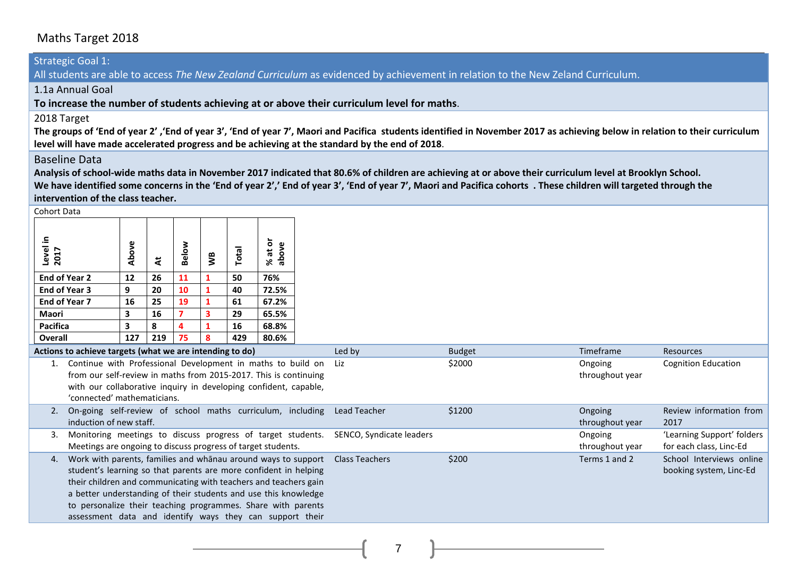#### Maths Target 2018

#### Strategic Goal 1:

All students are able to access *The New Zealand Curriculum* as evidenced by achievement in relation to the New Zeland Curriculum.

1.1a Annual Goal

**To increase the number of students achieving at or above their curriculum level for maths**.

#### 2018 Target

The groups of 'End of year 2', 'End of year 3', 'End of year 7', Maori and Pacifica students identified in November 2017 as achieving below in relation to their curriculum **level will have made accelerated progress and be achieving at the standard by the end of 2018**.

#### Baseline Data

**Analysis of school-wide maths data in November 2017 indicated that 80.6% of children are achieving at or above their curriculum level at Brooklyn School. We have identified some concerns in the 'End of year 2',' End of year 3', 'End of year 7', Maori and Pacifica cohorts . These children will targeted through the intervention of the class teacher.**

Cohort Data

| Conort Data                                                                                                                                                                                                                                                                                                                                                                                                |       |     |              |    |       |                                                                                                                                                                                                     |                          |               |                            |                                                       |
|------------------------------------------------------------------------------------------------------------------------------------------------------------------------------------------------------------------------------------------------------------------------------------------------------------------------------------------------------------------------------------------------------------|-------|-----|--------------|----|-------|-----------------------------------------------------------------------------------------------------------------------------------------------------------------------------------------------------|--------------------------|---------------|----------------------------|-------------------------------------------------------|
| Level in<br>2017                                                                                                                                                                                                                                                                                                                                                                                           | Above | さ   | <b>Below</b> | ŠБ | Total | ŏ<br>above<br>ã<br>S.                                                                                                                                                                               |                          |               |                            |                                                       |
| End of Year 2                                                                                                                                                                                                                                                                                                                                                                                              | 12    | 26  | 11           |    | 50    | 76%                                                                                                                                                                                                 |                          |               |                            |                                                       |
| End of Year 3                                                                                                                                                                                                                                                                                                                                                                                              | 9     | 20  | 10           |    | 40    | 72.5%                                                                                                                                                                                               |                          |               |                            |                                                       |
| End of Year 7                                                                                                                                                                                                                                                                                                                                                                                              | 16    | 25  | 19           |    | 61    | 67.2%                                                                                                                                                                                               |                          |               |                            |                                                       |
| <b>Maori</b>                                                                                                                                                                                                                                                                                                                                                                                               | 3     | 16  | 7            |    | 29    | 65.5%                                                                                                                                                                                               |                          |               |                            |                                                       |
| <b>Pacifica</b>                                                                                                                                                                                                                                                                                                                                                                                            | 3     | 8   |              |    | 16    | 68.8%                                                                                                                                                                                               |                          |               |                            |                                                       |
| Overall                                                                                                                                                                                                                                                                                                                                                                                                    | 127   | 219 | 75           | 8  | 429   | 80.6%                                                                                                                                                                                               |                          |               |                            |                                                       |
| Actions to achieve targets (what we are intending to do)                                                                                                                                                                                                                                                                                                                                                   |       |     |              |    |       |                                                                                                                                                                                                     | Led by                   | <b>Budget</b> | Timeframe                  | Resources                                             |
| 'connected' mathematicians.                                                                                                                                                                                                                                                                                                                                                                                |       |     |              |    |       | Continue with Professional Development in maths to build on<br>from our self-review in maths from 2015-2017. This is continuing<br>with our collaborative inquiry in developing confident, capable, | Liz                      | \$2000        | Ongoing<br>throughout year | Cognition Education                                   |
| 2.<br>induction of new staff.                                                                                                                                                                                                                                                                                                                                                                              |       |     |              |    |       | On-going self-review of school maths curriculum, including Lead Teacher                                                                                                                             |                          | \$1200        | Ongoing<br>throughout year | Review information from<br>2017                       |
| Meetings are ongoing to discuss progress of target students.                                                                                                                                                                                                                                                                                                                                               |       |     |              |    |       | Monitoring meetings to discuss progress of target students.                                                                                                                                         | SENCO, Syndicate leaders |               | Ongoing<br>throughout year | 'Learning Support' folders<br>for each class, Linc-Ed |
| Work with parents, families and whanau around ways to support<br>4.<br>student's learning so that parents are more confident in helping<br>their children and communicating with teachers and teachers gain<br>a better understanding of their students and use this knowledge<br>to personalize their teaching programmes. Share with parents<br>assessment data and identify ways they can support their |       |     |              |    |       |                                                                                                                                                                                                     | <b>Class Teachers</b>    | \$200         | Terms 1 and 2              | School Interviews online<br>booking system, Linc-Ed   |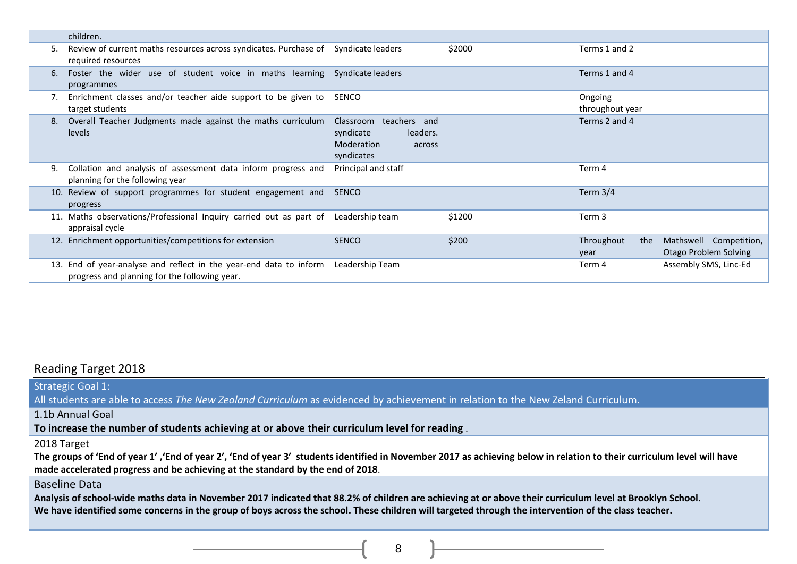|     | children.                                                                                                       |                                                                                                 |        |                            |                                                 |
|-----|-----------------------------------------------------------------------------------------------------------------|-------------------------------------------------------------------------------------------------|--------|----------------------------|-------------------------------------------------|
| 5.  | Review of current maths resources across syndicates. Purchase of Syndicate leaders<br>required resources        |                                                                                                 | \$2000 | Terms 1 and 2              |                                                 |
| 6.  | Foster the wider use of student voice in maths learning Syndicate leaders<br>programmes                         |                                                                                                 |        | Terms 1 and 4              |                                                 |
|     | Enrichment classes and/or teacher aide support to be given to<br>target students                                | SENCO                                                                                           |        | Ongoing<br>throughout year |                                                 |
| 8.  | Overall Teacher Judgments made against the maths curriculum<br>levels                                           | teachers and<br>Classroom<br>syndicate<br>leaders.<br><b>Moderation</b><br>across<br>syndicates |        | Terms 2 and 4              |                                                 |
| 9.  | Collation and analysis of assessment data inform progress and<br>planning for the following year                | Principal and staff                                                                             |        | Term 4                     |                                                 |
|     | 10. Review of support programmes for student engagement and<br>progress                                         | <b>SENCO</b>                                                                                    |        | Term $3/4$                 |                                                 |
|     | 11. Maths observations/Professional Inquiry carried out as part of<br>appraisal cycle                           | Leadership team                                                                                 | \$1200 | Term 3                     |                                                 |
|     | 12. Enrichment opportunities/competitions for extension                                                         | <b>SENCO</b>                                                                                    | \$200  | Throughout<br>the<br>year  | Mathswell Competition,<br>Otago Problem Solving |
| 13. | End of year-analyse and reflect in the year-end data to inform<br>progress and planning for the following year. | Leadership Team                                                                                 |        | Term 4                     | Assembly SMS, Linc-Ed                           |

#### Reading Target 2018

Strategic Goal 1: All students are able to access *The New Zealand Curriculum* as evidenced by achievement in relation to the New Zeland Curriculum. 1.1b Annual Goal **To increase the number of students achieving at or above their curriculum level for reading** . 2018 Target The groups of 'End of year 1','End of year 2', 'End of year 3' students identified in November 2017 as achieving below in relation to their curriculum level will have **made accelerated progress and be achieving at the standard by the end of 2018**. Baseline Data **Analysis of school-wide maths data in November 2017 indicated that 88.2% of children are achieving at or above their curriculum level at Brooklyn School. We have identified some concerns in the group of boys across the school. These children will targeted through the intervention of the class teacher.**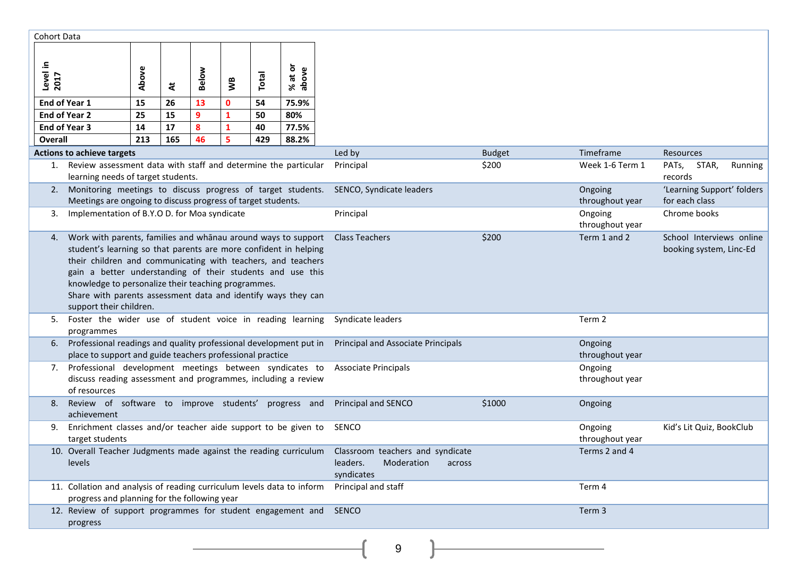| Cohort Data      |                                                                                                                                                                                                                                                                                                                                                                                                                    |       |     |       |              |              |                                                 |                                                                                    |                          |                            |                                                     |
|------------------|--------------------------------------------------------------------------------------------------------------------------------------------------------------------------------------------------------------------------------------------------------------------------------------------------------------------------------------------------------------------------------------------------------------------|-------|-----|-------|--------------|--------------|-------------------------------------------------|------------------------------------------------------------------------------------|--------------------------|----------------------------|-----------------------------------------------------|
| Level in<br>2017 |                                                                                                                                                                                                                                                                                                                                                                                                                    | Above | ä   | Below | Š            | Total        | ŏ<br>above<br>$\overline{\overline{a}}$<br>$\%$ |                                                                                    |                          |                            |                                                     |
| End of Year 1    |                                                                                                                                                                                                                                                                                                                                                                                                                    | 15    | 26  | 13    | $\mathbf{0}$ | 54           | 75.9%                                           |                                                                                    |                          |                            |                                                     |
|                  | <b>End of Year 2</b>                                                                                                                                                                                                                                                                                                                                                                                               | 25    | 15  | 9     | 1            | 50           | 80%                                             |                                                                                    |                          |                            |                                                     |
| End of Year 3    |                                                                                                                                                                                                                                                                                                                                                                                                                    | 14    | 17  | 8     | 1            | 40           | 77.5%                                           |                                                                                    |                          |                            |                                                     |
| Overall          |                                                                                                                                                                                                                                                                                                                                                                                                                    | 213   | 165 | 46    | 5            | 429          | 88.2%                                           |                                                                                    |                          |                            |                                                     |
|                  | <b>Actions to achieve targets</b><br>1. Review assessment data with staff and determine the particular                                                                                                                                                                                                                                                                                                             |       |     |       |              |              |                                                 | Led by                                                                             | <b>Budget</b>            | Timeframe                  | <b>Resources</b>                                    |
|                  | learning needs of target students.                                                                                                                                                                                                                                                                                                                                                                                 |       |     |       |              |              |                                                 | Principal                                                                          | \$200                    | Week 1-6 Term 1            | PATs,<br>STAR,<br>Running<br>records                |
|                  | 2. Monitoring meetings to discuss progress of target students.<br>Meetings are ongoing to discuss progress of target students.                                                                                                                                                                                                                                                                                     |       |     |       |              |              |                                                 | SENCO, Syndicate leaders                                                           |                          | Ongoing<br>throughout year | 'Learning Support' folders<br>for each class        |
| 3.               | Implementation of B.Y.O D. for Moa syndicate                                                                                                                                                                                                                                                                                                                                                                       |       |     |       |              |              |                                                 | Principal                                                                          |                          | Ongoing<br>throughout year | Chrome books                                        |
| 4.               | Work with parents, families and whanau around ways to support<br>student's learning so that parents are more confident in helping<br>their children and communicating with teachers, and teachers<br>gain a better understanding of their students and use this<br>knowledge to personalize their teaching programmes.<br>Share with parents assessment data and identify ways they can<br>support their children. |       |     |       |              |              |                                                 | <b>Class Teachers</b>                                                              | \$200                    | Term 1 and 2               | School Interviews online<br>booking system, Linc-Ed |
| 5.               | Foster the wider use of student voice in reading learning<br>programmes                                                                                                                                                                                                                                                                                                                                            |       |     |       |              |              |                                                 | Syndicate leaders                                                                  |                          | Term 2                     |                                                     |
| 6.               | Professional readings and quality professional development put in<br>place to support and guide teachers professional practice                                                                                                                                                                                                                                                                                     |       |     |       |              |              |                                                 | Principal and Associate Principals                                                 |                          | Ongoing<br>throughout year |                                                     |
| 7.               | Professional development meetings between syndicates to<br>discuss reading assessment and programmes, including a review<br>of resources                                                                                                                                                                                                                                                                           |       |     |       |              |              |                                                 | <b>Associate Principals</b>                                                        |                          | Ongoing<br>throughout year |                                                     |
| 8.               | Review of software to improve students' progress and<br>achievement                                                                                                                                                                                                                                                                                                                                                |       |     |       |              |              |                                                 | Principal and SENCO                                                                | \$1000                   | Ongoing                    |                                                     |
| 9.               | Enrichment classes and/or teacher aide support to be given to<br>target students                                                                                                                                                                                                                                                                                                                                   |       |     |       |              | <b>SENCO</b> |                                                 | Ongoing<br>throughout year                                                         | Kid's Lit Quiz, BookClub |                            |                                                     |
|                  | 10. Overall Teacher Judgments made against the reading curriculum<br>levels                                                                                                                                                                                                                                                                                                                                        |       |     |       |              |              |                                                 | Classroom teachers and syndicate<br>Moderation<br>leaders.<br>across<br>syndicates |                          | Terms 2 and 4              |                                                     |
|                  | 11. Collation and analysis of reading curriculum levels data to inform<br>progress and planning for the following year                                                                                                                                                                                                                                                                                             |       |     |       |              |              |                                                 | Principal and staff                                                                |                          | Term 4                     |                                                     |
|                  | 12. Review of support programmes for student engagement and<br>progress                                                                                                                                                                                                                                                                                                                                            |       |     |       |              |              |                                                 | <b>SENCO</b>                                                                       |                          | Term 3                     |                                                     |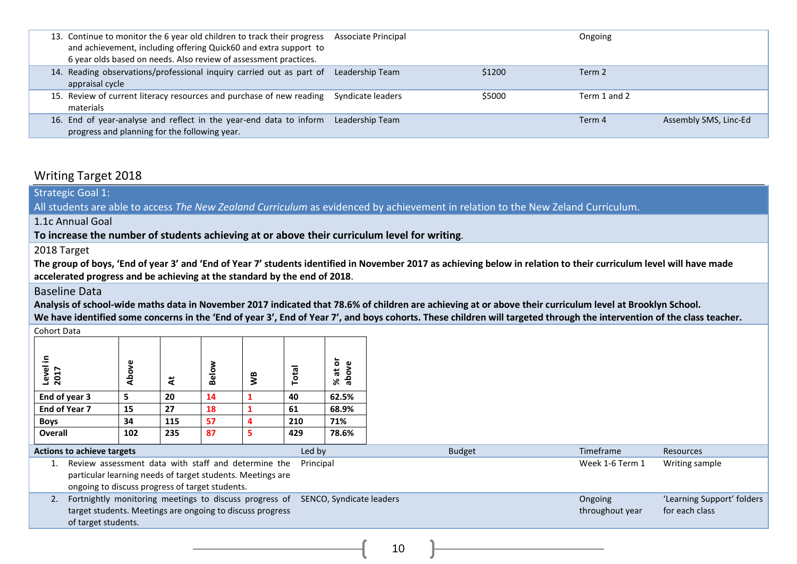| 13. Continue to monitor the 6 year old children to track their progress<br>and achievement, including offering Quick60 and extra support to<br>6 year olds based on needs. Also review of assessment practices. | Associate Principal |        | Ongoing      |                       |
|-----------------------------------------------------------------------------------------------------------------------------------------------------------------------------------------------------------------|---------------------|--------|--------------|-----------------------|
| 14. Reading observations/professional inquiry carried out as part of<br>appraisal cycle                                                                                                                         | Leadership Team     | \$1200 | Term 2       |                       |
| 15. Review of current literacy resources and purchase of new reading Syndicate leaders<br>materials                                                                                                             |                     | \$5000 | Term 1 and 2 |                       |
| 16. End of year-analyse and reflect in the year-end data to inform<br>progress and planning for the following year.                                                                                             | Leadership Team     |        | Term 4       | Assembly SMS, Linc-Ed |

#### Writing Target 2018

Strategic Goal 1:

All students are able to access *The New Zealand Curriculum* as evidenced by achievement in relation to the New Zeland Curriculum.

1.1c Annual Goal

**To increase the number of students achieving at or above their curriculum level for writing**.

2018 Target

**The group of boys, 'End of year 3' and 'End of Year 7' students identified in November 2017 as achieving below in relation to their curriculum level will have made accelerated progress and be achieving at the standard by the end of 2018**.

#### Baseline Data

**Analysis of school-wide maths data in November 2017 indicated that 78.6% of children are achieving at or above their curriculum level at Brooklyn School. We have identified some concerns in the 'End of year 3', End of Year 7', and boys cohorts. These children will targeted through the intervention of the class teacher.**

Cohort Data

| 크.<br>Level<br>2017                         | Above | ä   | Below | Š | Total | % at or<br>above |  |
|---------------------------------------------|-------|-----|-------|---|-------|------------------|--|
| End of year 3                               | 5     | 20  | 14    |   | 40    | 62.5%            |  |
| End of Year 7                               | 15    | 27  | 18    |   | 61    | 68.9%            |  |
| <b>Boys</b>                                 | 34    | 115 | 57    | 4 | 210   | 71%              |  |
| <b>Overall</b>                              | 102   | 235 | 87    | 5 | 429   | 78.6%            |  |
| Led by<br><b>Actions to achieve targets</b> |       |     |       |   |       |                  |  |

| <b>Actions to achieve targets</b> |                                                                                                                                                                      | Led bv                   | <b>Budget</b> | Timeframe                  | Resources                                    |
|-----------------------------------|----------------------------------------------------------------------------------------------------------------------------------------------------------------------|--------------------------|---------------|----------------------------|----------------------------------------------|
|                                   | Review assessment data with staff and determine the<br>particular learning needs of target students. Meetings are<br>ongoing to discuss progress of target students. | Principal                |               | Week 1-6 Term 1            | Writing sample                               |
|                                   | 2. Fortnightly monitoring meetings to discuss progress of<br>target students. Meetings are ongoing to discuss progress<br>of target students.                        | SENCO, Syndicate leaders |               | Ongoing<br>throughout year | 'Learning Support' folders<br>for each class |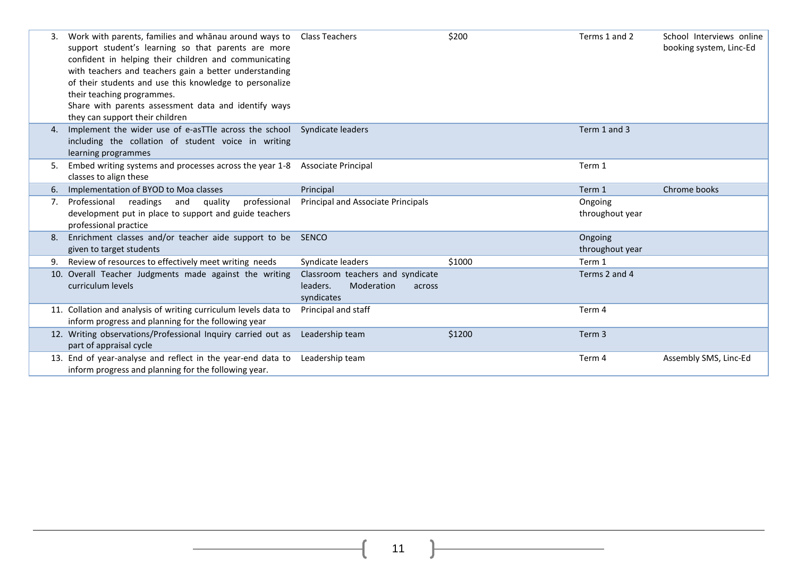|    | Work with parents, families and whanau around ways to Class Teachers<br>support student's learning so that parents are more<br>confident in helping their children and communicating<br>with teachers and teachers gain a better understanding<br>of their students and use this knowledge to personalize<br>their teaching programmes.<br>Share with parents assessment data and identify ways<br>they can support their children |                                                                                    | \$200  | Terms 1 and 2              | School Interviews online<br>booking system, Linc-Ed |
|----|------------------------------------------------------------------------------------------------------------------------------------------------------------------------------------------------------------------------------------------------------------------------------------------------------------------------------------------------------------------------------------------------------------------------------------|------------------------------------------------------------------------------------|--------|----------------------------|-----------------------------------------------------|
| 4. | Implement the wider use of e-asTTle across the school Syndicate leaders<br>including the collation of student voice in writing<br>learning programmes                                                                                                                                                                                                                                                                              |                                                                                    |        | Term 1 and 3               |                                                     |
| 5. | Embed writing systems and processes across the year 1-8 Associate Principal<br>classes to align these                                                                                                                                                                                                                                                                                                                              |                                                                                    |        | Term 1                     |                                                     |
| 6. | Implementation of BYOD to Moa classes                                                                                                                                                                                                                                                                                                                                                                                              | Principal                                                                          |        | Term 1                     | Chrome books                                        |
| 7. | Professional readings<br>and<br>quality<br>professional<br>development put in place to support and guide teachers<br>professional practice                                                                                                                                                                                                                                                                                         | Principal and Associate Principals                                                 |        | Ongoing<br>throughout year |                                                     |
| 8. | Enrichment classes and/or teacher aide support to be SENCO<br>given to target students                                                                                                                                                                                                                                                                                                                                             |                                                                                    |        | Ongoing<br>throughout year |                                                     |
|    | Review of resources to effectively meet writing needs                                                                                                                                                                                                                                                                                                                                                                              | Syndicate leaders                                                                  | \$1000 | Term 1                     |                                                     |
|    | 10. Overall Teacher Judgments made against the writing<br>curriculum levels                                                                                                                                                                                                                                                                                                                                                        | Classroom teachers and syndicate<br>leaders.<br>Moderation<br>across<br>syndicates |        | Terms 2 and 4              |                                                     |
|    | 11. Collation and analysis of writing curriculum levels data to<br>inform progress and planning for the following year                                                                                                                                                                                                                                                                                                             | Principal and staff                                                                |        | Term 4                     |                                                     |
|    | 12. Writing observations/Professional Inquiry carried out as<br>part of appraisal cycle                                                                                                                                                                                                                                                                                                                                            | Leadership team                                                                    | \$1200 | Term 3                     |                                                     |
|    | 13. End of year-analyse and reflect in the year-end data to<br>inform progress and planning for the following year.                                                                                                                                                                                                                                                                                                                | Leadership team                                                                    |        | Term 4                     | Assembly SMS, Linc-Ed                               |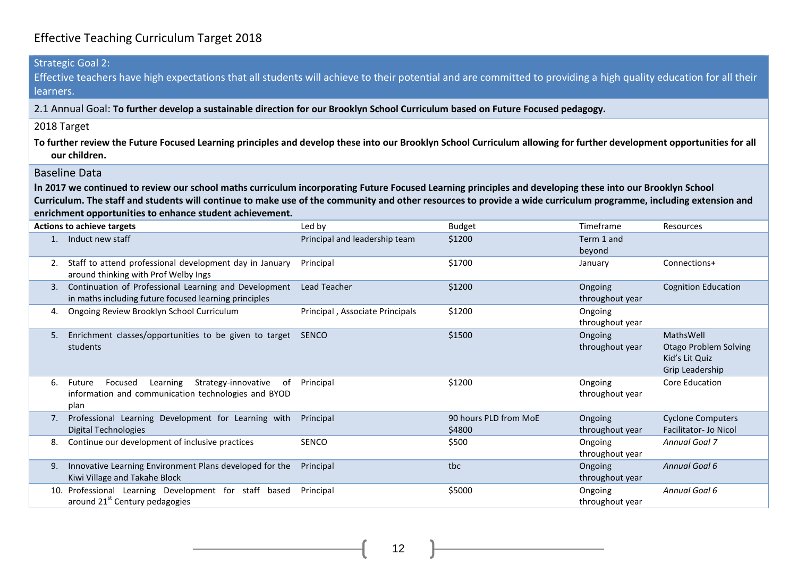# Effective Teaching Curriculum Target 2018

| learners.   | <b>Strategic Goal 2:</b><br>Effective teachers have high expectations that all students will achieve to their potential and are committed to providing a high quality education for all their                                                                                                                                                                                              |                                 |                                 |                            |                                                                                |
|-------------|--------------------------------------------------------------------------------------------------------------------------------------------------------------------------------------------------------------------------------------------------------------------------------------------------------------------------------------------------------------------------------------------|---------------------------------|---------------------------------|----------------------------|--------------------------------------------------------------------------------|
|             | 2.1 Annual Goal: To further develop a sustainable direction for our Brooklyn School Curriculum based on Future Focused pedagogy.                                                                                                                                                                                                                                                           |                                 |                                 |                            |                                                                                |
| 2018 Target |                                                                                                                                                                                                                                                                                                                                                                                            |                                 |                                 |                            |                                                                                |
|             |                                                                                                                                                                                                                                                                                                                                                                                            |                                 |                                 |                            |                                                                                |
|             | To further review the Future Focused Learning principles and develop these into our Brooklyn School Curriculum allowing for further development opportunities for all<br>our children.                                                                                                                                                                                                     |                                 |                                 |                            |                                                                                |
|             | <b>Baseline Data</b>                                                                                                                                                                                                                                                                                                                                                                       |                                 |                                 |                            |                                                                                |
|             | In 2017 we continued to review our school maths curriculum incorporating Future Focused Learning principles and developing these into our Brooklyn School<br>Curriculum. The staff and students will continue to make use of the community and other resources to provide a wide curriculum programme, including extension and<br>enrichment opportunities to enhance student achievement. |                                 |                                 |                            |                                                                                |
|             | <b>Actions to achieve targets</b>                                                                                                                                                                                                                                                                                                                                                          | Led by                          | <b>Budget</b>                   | Timeframe                  | Resources                                                                      |
|             | 1. Induct new staff                                                                                                                                                                                                                                                                                                                                                                        | Principal and leadership team   | \$1200                          | Term 1 and<br>beyond       |                                                                                |
| 2.          | Staff to attend professional development day in January<br>around thinking with Prof Welby Ings                                                                                                                                                                                                                                                                                            | Principal                       | \$1700                          | January                    | Connections+                                                                   |
|             | 3. Continuation of Professional Learning and Development<br>in maths including future focused learning principles                                                                                                                                                                                                                                                                          | Lead Teacher                    | \$1200                          | Ongoing<br>throughout year | <b>Cognition Education</b>                                                     |
| 4.          | Ongoing Review Brooklyn School Curriculum                                                                                                                                                                                                                                                                                                                                                  | Principal, Associate Principals | \$1200                          | Ongoing<br>throughout year |                                                                                |
| 5.          | Enrichment classes/opportunities to be given to target SENCO<br>students                                                                                                                                                                                                                                                                                                                   |                                 | \$1500                          | Ongoing<br>throughout year | MathsWell<br><b>Otago Problem Solving</b><br>Kid's Lit Quiz<br>Grip Leadership |
| 6.          | Strategy-innovative of<br>Future Focused Learning<br>information and communication technologies and BYOD<br>plan                                                                                                                                                                                                                                                                           | Principal                       | \$1200                          | Ongoing<br>throughout year | Core Education                                                                 |
|             | 7. Professional Learning Development for Learning with<br><b>Digital Technologies</b>                                                                                                                                                                                                                                                                                                      | Principal                       | 90 hours PLD from MoE<br>\$4800 | Ongoing<br>throughout year | <b>Cyclone Computers</b><br>Facilitator- Jo Nicol                              |
| 8.          | Continue our development of inclusive practices                                                                                                                                                                                                                                                                                                                                            | SENCO                           | \$500                           | Ongoing<br>throughout year | <b>Annual Goal 7</b>                                                           |
| 9.          | Innovative Learning Environment Plans developed for the<br>Kiwi Village and Takahe Block                                                                                                                                                                                                                                                                                                   | Principal                       | tbc                             | Ongoing<br>throughout year | Annual Goal 6                                                                  |
|             | 10. Professional Learning Development for staff based<br>around 21 <sup>st</sup> Century pedagogies                                                                                                                                                                                                                                                                                        | Principal                       | \$5000                          | Ongoing<br>throughout year | Annual Goal 6                                                                  |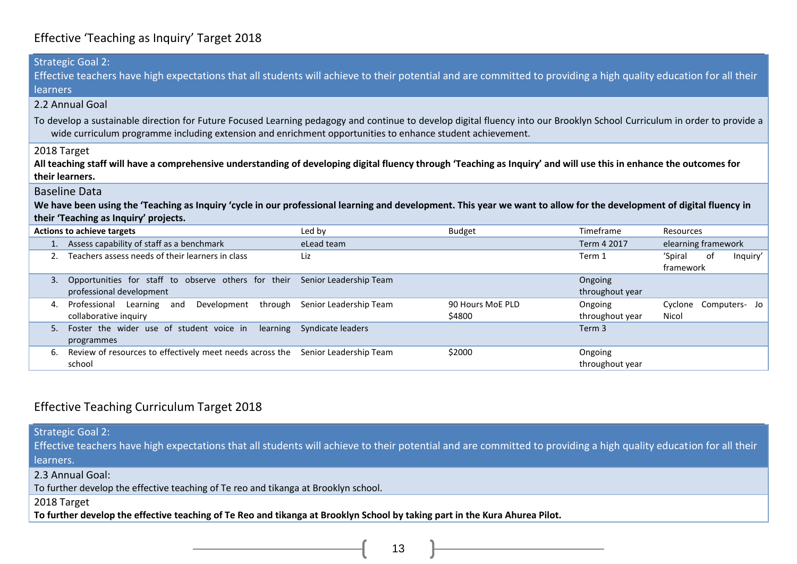## Effective 'Teaching as Inquiry' Target 2018

|                                                                                                                                                                                                                                                                                         | <b>Strategic Goal 2:</b>                                                                                                                                              |                        |                                  |                            |                                |    |          |
|-----------------------------------------------------------------------------------------------------------------------------------------------------------------------------------------------------------------------------------------------------------------------------------------|-----------------------------------------------------------------------------------------------------------------------------------------------------------------------|------------------------|----------------------------------|----------------------------|--------------------------------|----|----------|
| Effective teachers have high expectations that all students will achieve to their potential and are committed to providing a high quality education for all their                                                                                                                       |                                                                                                                                                                       |                        |                                  |                            |                                |    |          |
| learners                                                                                                                                                                                                                                                                                |                                                                                                                                                                       |                        |                                  |                            |                                |    |          |
|                                                                                                                                                                                                                                                                                         | 2.2 Annual Goal                                                                                                                                                       |                        |                                  |                            |                                |    |          |
| To develop a sustainable direction for Future Focused Learning pedagogy and continue to develop digital fluency into our Brooklyn School Curriculum in order to provide a<br>wide curriculum programme including extension and enrichment opportunities to enhance student achievement. |                                                                                                                                                                       |                        |                                  |                            |                                |    |          |
| 2018 Target<br>All teaching staff will have a comprehensive understanding of developing digital fluency through 'Teaching as Inquiry' and will use this in enhance the outcomes for<br>their learners.                                                                                  |                                                                                                                                                                       |                        |                                  |                            |                                |    |          |
|                                                                                                                                                                                                                                                                                         | <b>Baseline Data</b>                                                                                                                                                  |                        |                                  |                            |                                |    |          |
|                                                                                                                                                                                                                                                                                         | We have been using the 'Teaching as Inquiry 'cycle in our professional learning and development. This year we want to allow for the development of digital fluency in |                        |                                  |                            |                                |    |          |
|                                                                                                                                                                                                                                                                                         | their 'Teaching as Inquiry' projects.                                                                                                                                 |                        |                                  |                            |                                |    |          |
|                                                                                                                                                                                                                                                                                         | <b>Actions to achieve targets</b>                                                                                                                                     | Led by                 | <b>Budget</b>                    | Timeframe                  | Resources                      |    |          |
|                                                                                                                                                                                                                                                                                         | 1. Assess capability of staff as a benchmark                                                                                                                          | eLead team             |                                  | Term 4 2017                | elearning framework            |    |          |
|                                                                                                                                                                                                                                                                                         | Teachers assess needs of their learners in class                                                                                                                      | Liz                    |                                  | Term 1                     | 'Spiral<br>framework           | 0f | Inquiry' |
| 3.                                                                                                                                                                                                                                                                                      | Opportunities for staff to observe others for their Senior Leadership Team<br>professional development                                                                |                        |                                  | Ongoing<br>throughout year |                                |    |          |
| 4.                                                                                                                                                                                                                                                                                      | Professional Learning and<br>Development<br>through<br>collaborative inquiry                                                                                          | Senior Leadership Team | 90 Hours MoE PLD<br><b>S4800</b> | Ongoing<br>throughout year | Cyclone Computers- Jo<br>Nicol |    |          |
| 5.                                                                                                                                                                                                                                                                                      | Foster the wider use of student voice in learning Syndicate leaders<br>programmes                                                                                     |                        |                                  | Term 3                     |                                |    |          |
| 6.                                                                                                                                                                                                                                                                                      | Review of resources to effectively meet needs across the Senior Leadership Team<br>school                                                                             |                        | \$2000                           | Ongoing<br>throughout year |                                |    |          |

#### Effective Teaching Curriculum Target 2018

Strategic Goal 2:

Effective teachers have high expectations that all students will achieve to their potential and are committed to providing a high quality education for all their learners.

2.3 Annual Goal:

To further develop the effective teaching of Te reo and tikanga at Brooklyn school.

2018 Target

**To further develop the effective teaching of Te Reo and tikanga at Brooklyn School by taking part in the Kura Ahurea Pilot.**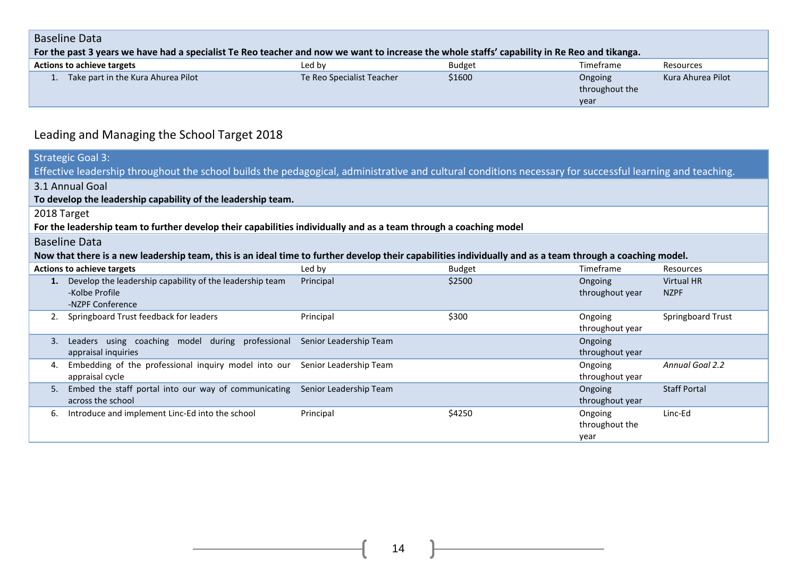#### Baseline Data

| ouschild bata                                                                                                                                |                           |               |                                   |                   |  |  |  |
|----------------------------------------------------------------------------------------------------------------------------------------------|---------------------------|---------------|-----------------------------------|-------------------|--|--|--|
| For the past 3 years we have had a specialist Te Reo teacher and now we want to increase the whole staffs' capability in Re Reo and tikanga. |                           |               |                                   |                   |  |  |  |
| <b>Actions to achieve targets</b>                                                                                                            | Led by                    | <b>Budget</b> | Timeframe                         | Resources         |  |  |  |
| Take part in the Kura Ahurea Pilot                                                                                                           | Te Reo Specialist Teacher | \$1600        | Ongoing<br>throughout the<br>year | Kura Ahurea Pilot |  |  |  |

# Leading and Managing the School Target 2018

|                                                                                                                                                                                   | <b>Strategic Goal 3:</b><br>Effective leadership throughout the school builds the pedagogical, administrative and cultural conditions necessary for successful learning and teaching. |           |               |                                   |                                  |  |  |
|-----------------------------------------------------------------------------------------------------------------------------------------------------------------------------------|---------------------------------------------------------------------------------------------------------------------------------------------------------------------------------------|-----------|---------------|-----------------------------------|----------------------------------|--|--|
| 3.1 Annual Goal<br>To develop the leadership capability of the leadership team.                                                                                                   |                                                                                                                                                                                       |           |               |                                   |                                  |  |  |
| 2018 Target<br>For the leadership team to further develop their capabilities individually and as a team through a coaching model                                                  |                                                                                                                                                                                       |           |               |                                   |                                  |  |  |
| <b>Baseline Data</b><br>Now that there is a new leadership team, this is an ideal time to further develop their capabilities individually and as a team through a coaching model. |                                                                                                                                                                                       |           |               |                                   |                                  |  |  |
|                                                                                                                                                                                   | <b>Actions to achieve targets</b>                                                                                                                                                     | Led by    | <b>Budget</b> | Timeframe                         | Resources                        |  |  |
|                                                                                                                                                                                   | 1. Develop the leadership capability of the leadership team<br>-Kolbe Profile<br>-NZPF Conference                                                                                     | Principal | \$2500        | Ongoing<br>throughout year        | <b>Virtual HR</b><br><b>NZPF</b> |  |  |
| 2.                                                                                                                                                                                | Springboard Trust feedback for leaders                                                                                                                                                | Principal | \$300         | Ongoing<br>throughout year        | Springboard Trust                |  |  |
| 3.                                                                                                                                                                                | Leaders using coaching model during professional Senior Leadership Team<br>appraisal inquiries                                                                                        |           |               | Ongoing<br>throughout year        |                                  |  |  |
| 4.                                                                                                                                                                                | Embedding of the professional inquiry model into our Senior Leadership Team<br>appraisal cycle                                                                                        |           |               | Ongoing<br>throughout year        | <b>Annual Goal 2.2</b>           |  |  |
| 5.                                                                                                                                                                                | Embed the staff portal into our way of communicating Senior Leadership Team<br>across the school                                                                                      |           |               | Ongoing<br>throughout year        | <b>Staff Portal</b>              |  |  |
| 6.                                                                                                                                                                                | Introduce and implement Linc-Ed into the school                                                                                                                                       | Principal | \$4250        | Ongoing<br>throughout the<br>year | Linc-Ed                          |  |  |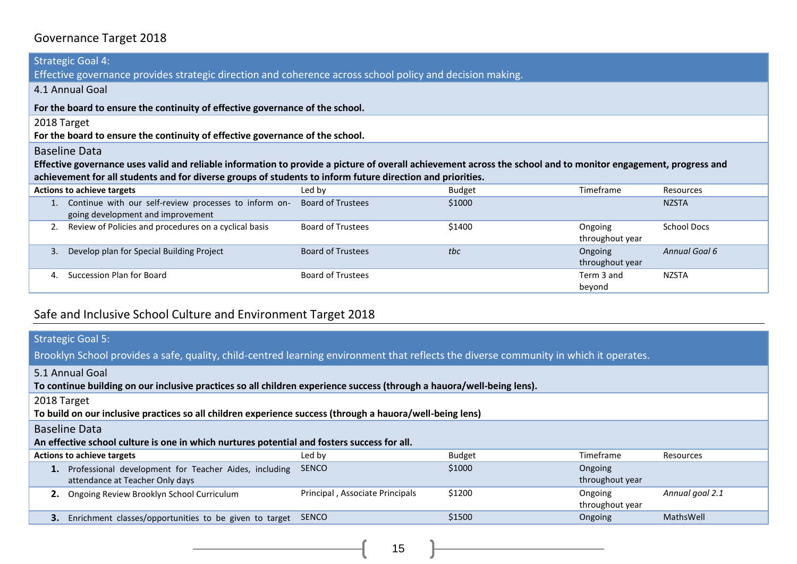# Governance Target 2018

| <b>Strategic Goal 4:</b>                                                                                                                                       |                          |        |                 |                    |  |  |  |
|----------------------------------------------------------------------------------------------------------------------------------------------------------------|--------------------------|--------|-----------------|--------------------|--|--|--|
| Effective governance provides strategic direction and coherence across school policy and decision making.                                                      |                          |        |                 |                    |  |  |  |
| 4.1 Annual Goal                                                                                                                                                |                          |        |                 |                    |  |  |  |
| For the board to ensure the continuity of effective governance of the school.                                                                                  |                          |        |                 |                    |  |  |  |
| 2018 Target                                                                                                                                                    |                          |        |                 |                    |  |  |  |
| For the board to ensure the continuity of effective governance of the school.                                                                                  |                          |        |                 |                    |  |  |  |
| <b>Baseline Data</b>                                                                                                                                           |                          |        |                 |                    |  |  |  |
| Effective governance uses valid and reliable information to provide a picture of overall achievement across the school and to monitor engagement, progress and |                          |        |                 |                    |  |  |  |
| achievement for all students and for diverse groups of students to inform future direction and priorities.                                                     |                          |        |                 |                    |  |  |  |
| <b>Actions to achieve targets</b>                                                                                                                              | Led by                   | Budget | Timeframe       | Resources          |  |  |  |
| Continue with our self-review processes to inform on-                                                                                                          | <b>Board of Trustees</b> | \$1000 |                 | <b>NZSTA</b>       |  |  |  |
| going development and improvement                                                                                                                              |                          |        |                 |                    |  |  |  |
| Review of Policies and procedures on a cyclical basis                                                                                                          | <b>Board of Trustees</b> | \$1400 | Ongoing         | <b>School Docs</b> |  |  |  |
|                                                                                                                                                                |                          |        | throughout year |                    |  |  |  |
| Develop plan for Special Building Project<br>3.                                                                                                                | <b>Board of Trustees</b> | tbc    | Ongoing         | Annual Goal 6      |  |  |  |
|                                                                                                                                                                |                          |        | throughout year |                    |  |  |  |
| Succession Plan for Board<br>4.                                                                                                                                | <b>Board of Trustees</b> |        | Term 3 and      | NZSTA              |  |  |  |
|                                                                                                                                                                |                          |        | beyond          |                    |  |  |  |

# Safe and Inclusive School Culture and Environment Target 2018

| <b>Strategic Goal 5:</b><br>Brooklyn School provides a safe, quality, child-centred learning environment that reflects the diverse community in which it operates. |                                 |               |                            |                 |  |  |
|--------------------------------------------------------------------------------------------------------------------------------------------------------------------|---------------------------------|---------------|----------------------------|-----------------|--|--|
| 5.1 Annual Goal<br>To continue building on our inclusive practices so all children experience success (through a hauora/well-being lens).                          |                                 |               |                            |                 |  |  |
| 2018 Target<br>To build on our inclusive practices so all children experience success (through a hauora/well-being lens)                                           |                                 |               |                            |                 |  |  |
| <b>Baseline Data</b><br>An effective school culture is one in which nurtures potential and fosters success for all.                                                |                                 |               |                            |                 |  |  |
| <b>Actions to achieve targets</b>                                                                                                                                  | Led by                          | <b>Budget</b> | Timeframe                  | Resources       |  |  |
| Professional development for Teacher Aides, including<br>1.<br>attendance at Teacher Only days                                                                     | <b>SENCO</b>                    | \$1000        | Ongoing<br>throughout year |                 |  |  |
| Ongoing Review Brooklyn School Curriculum<br>2.                                                                                                                    | Principal, Associate Principals | \$1200        | Ongoing<br>throughout year | Annual goal 2.1 |  |  |
| Enrichment classes/opportunities to be given to target<br>З.                                                                                                       | <b>SENCO</b>                    | \$1500        | Ongoing                    | MathsWell       |  |  |

 $15$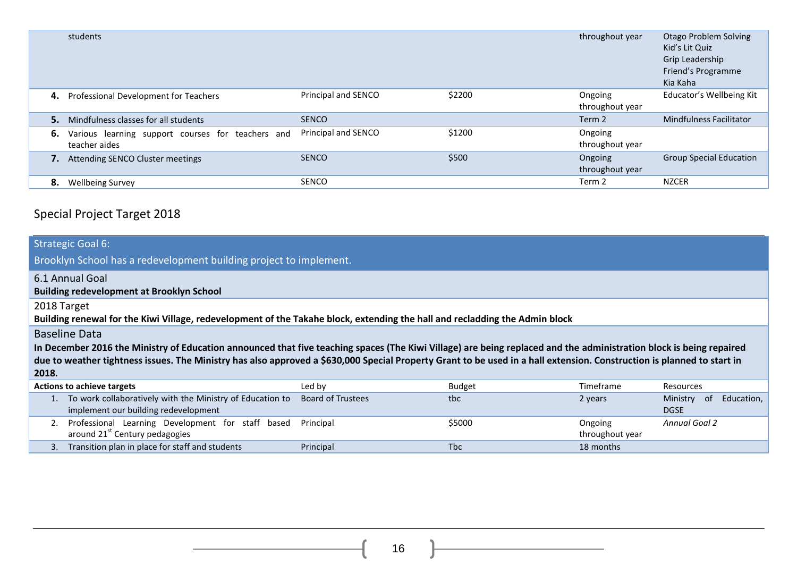|    | students                                                           |                     |        | throughout year            | <b>Otago Problem Solving</b><br>Kid's Lit Quiz<br>Grip Leadership<br>Friend's Programme<br>Kia Kaha |
|----|--------------------------------------------------------------------|---------------------|--------|----------------------------|-----------------------------------------------------------------------------------------------------|
| 4. | Professional Development for Teachers                              | Principal and SENCO | \$2200 | Ongoing<br>throughout year | Educator's Wellbeing Kit                                                                            |
| 5. | Mindfulness classes for all students                               | <b>SENCO</b>        |        | Term <sub>2</sub>          | <b>Mindfulness Facilitator</b>                                                                      |
| 6. | Various learning support courses for teachers and<br>teacher aides | Principal and SENCO | \$1200 | Ongoing<br>throughout year |                                                                                                     |
|    | Attending SENCO Cluster meetings                                   | <b>SENCO</b>        | \$500  | Ongoing<br>throughout year | <b>Group Special Education</b>                                                                      |
| 8. | <b>Wellbeing Survey</b>                                            | <b>SENCO</b>        |        | Term 2                     | <b>NZCER</b>                                                                                        |

# Special Project Target 2018

| <b>Strategic Goal 6:</b><br>Brooklyn School has a redevelopment building project to implement.                                                                                                                                                                                                                                                                                 |                          |               |                            |                                              |  |  |  |
|--------------------------------------------------------------------------------------------------------------------------------------------------------------------------------------------------------------------------------------------------------------------------------------------------------------------------------------------------------------------------------|--------------------------|---------------|----------------------------|----------------------------------------------|--|--|--|
| 6.1 Annual Goal<br><b>Building redevelopment at Brooklyn School</b>                                                                                                                                                                                                                                                                                                            |                          |               |                            |                                              |  |  |  |
| 2018 Target<br>Building renewal for the Kiwi Village, redevelopment of the Takahe block, extending the hall and recladding the Admin block                                                                                                                                                                                                                                     |                          |               |                            |                                              |  |  |  |
| <b>Baseline Data</b><br>In December 2016 the Ministry of Education announced that five teaching spaces (The Kiwi Village) are being replaced and the administration block is being repaired<br>due to weather tightness issues. The Ministry has also approved a \$630,000 Special Property Grant to be used in a hall extension. Construction is planned to start in<br>2018. |                          |               |                            |                                              |  |  |  |
| <b>Actions to achieve targets</b>                                                                                                                                                                                                                                                                                                                                              | Led by                   | <b>Budget</b> | Timeframe                  | Resources                                    |  |  |  |
| To work collaboratively with the Ministry of Education to<br>implement our building redevelopment                                                                                                                                                                                                                                                                              | <b>Board of Trustees</b> | tbc           | 2 years                    | -of<br>Ministry<br>Education,<br><b>DGSE</b> |  |  |  |
| Professional Learning Development for staff based<br>around 21 <sup>st</sup> Century pedagogies                                                                                                                                                                                                                                                                                | Principal                | \$5000        | Ongoing<br>throughout year | <b>Annual Goal 2</b>                         |  |  |  |
| Transition plan in place for staff and students<br>3.                                                                                                                                                                                                                                                                                                                          | Principal                | <b>Tbc</b>    | 18 months                  |                                              |  |  |  |